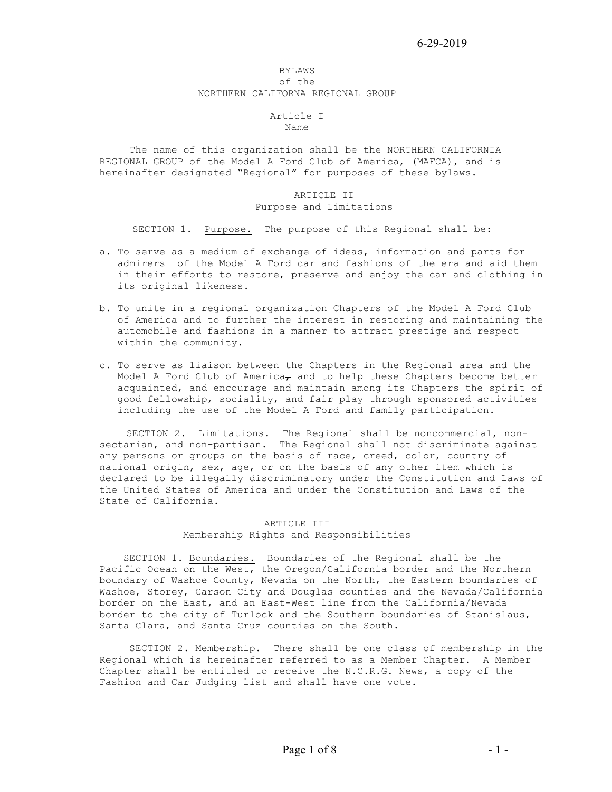#### BYLAWS of the NORTHERN CALIFORNA REGIONAL GROUP

# Article I

Name

 The name of this organization shall be the NORTHERN CALIFORNIA REGIONAL GROUP of the Model A Ford Club of America, (MAFCA), and is hereinafter designated "Regional" for purposes of these bylaws.

#### ARTICLE II Purpose and Limitations

SECTION 1. Purpose. The purpose of this Regional shall be:

- a. To serve as a medium of exchange of ideas, information and parts for admirers of the Model A Ford car and fashions of the era and aid them in their efforts to restore, preserve and enjoy the car and clothing in its original likeness.
- b. To unite in a regional organization Chapters of the Model A Ford Club of America and to further the interest in restoring and maintaining the automobile and fashions in a manner to attract prestige and respect within the community.
- c. To serve as liaison between the Chapters in the Regional area and the Model A Ford Club of America $_{7}$  and to help these Chapters become better acquainted, and encourage and maintain among its Chapters the spirit of good fellowship, sociality, and fair play through sponsored activities including the use of the Model A Ford and family participation.

SECTION 2. Limitations. The Regional shall be noncommercial, nonsectarian, and non-partisan. The Regional shall not discriminate against any persons or groups on the basis of race, creed, color, country of national origin, sex, age, or on the basis of any other item which is declared to be illegally discriminatory under the Constitution and Laws of the United States of America and under the Constitution and Laws of the State of California.

# ARTICLE III Membership Rights and Responsibilities

 SECTION 1. Boundaries. Boundaries of the Regional shall be the Pacific Ocean on the West, the Oregon/California border and the Northern boundary of Washoe County, Nevada on the North, the Eastern boundaries of Washoe, Storey, Carson City and Douglas counties and the Nevada/California border on the East, and an East-West line from the California/Nevada border to the city of Turlock and the Southern boundaries of Stanislaus, Santa Clara, and Santa Cruz counties on the South.

 SECTION 2. Membership. There shall be one class of membership in the Regional which is hereinafter referred to as a Member Chapter. A Member Chapter shall be entitled to receive the N.C.R.G. News, a copy of the Fashion and Car Judging list and shall have one vote.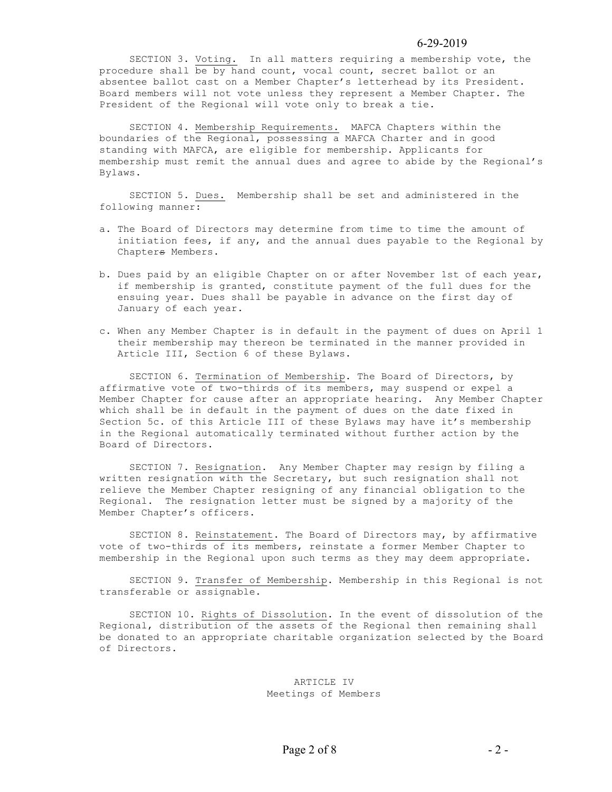SECTION 3. Voting. In all matters requiring a membership vote, the procedure shall be by hand count, vocal count, secret ballot or an absentee ballot cast on a Member Chapter's letterhead by its President. Board members will not vote unless they represent a Member Chapter. The President of the Regional will vote only to break a tie.

 SECTION 4. Membership Requirements. MAFCA Chapters within the boundaries of the Regional, possessing a MAFCA Charter and in good standing with MAFCA, are eligible for membership. Applicants for membership must remit the annual dues and agree to abide by the Regional's Bylaws.

 SECTION 5. Dues. Membership shall be set and administered in the following manner:

- a. The Board of Directors may determine from time to time the amount of initiation fees, if any, and the annual dues payable to the Regional by Chapters Members.
- b. Dues paid by an eligible Chapter on or after November 1st of each year, if membership is granted, constitute payment of the full dues for the ensuing year. Dues shall be payable in advance on the first day of January of each year.
- c. When any Member Chapter is in default in the payment of dues on April 1 their membership may thereon be terminated in the manner provided in Article III, Section 6 of these Bylaws.

 SECTION 6. Termination of Membership. The Board of Directors, by affirmative vote of two-thirds of its members, may suspend or expel a Member Chapter for cause after an appropriate hearing. Any Member Chapter which shall be in default in the payment of dues on the date fixed in Section 5c. of this Article III of these Bylaws may have it's membership in the Regional automatically terminated without further action by the Board of Directors.

 SECTION 7. Resignation. Any Member Chapter may resign by filing a written resignation with the Secretary, but such resignation shall not relieve the Member Chapter resigning of any financial obligation to the Regional. The resignation letter must be signed by a majority of the Member Chapter's officers.

 SECTION 8. Reinstatement. The Board of Directors may, by affirmative vote of two-thirds of its members, reinstate a former Member Chapter to membership in the Regional upon such terms as they may deem appropriate.

 SECTION 9. Transfer of Membership. Membership in this Regional is not transferable or assignable.

 SECTION 10. Rights of Dissolution. In the event of dissolution of the Regional, distribution of the assets of the Regional then remaining shall be donated to an appropriate charitable organization selected by the Board of Directors.

> ARTICLE IV Meetings of Members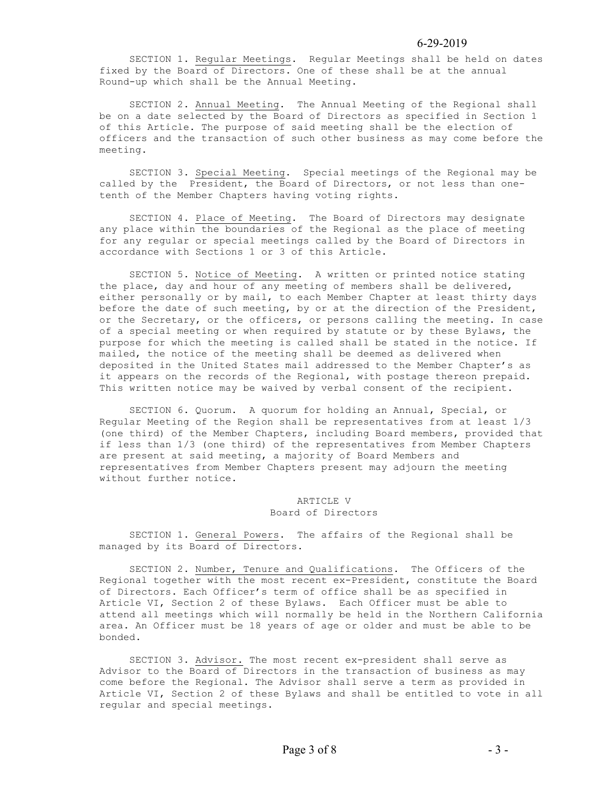SECTION 1. Regular Meetings. Regular Meetings shall be held on dates fixed by the Board of Directors. One of these shall be at the annual Round-up which shall be the Annual Meeting.

 SECTION 2. Annual Meeting. The Annual Meeting of the Regional shall be on a date selected by the Board of Directors as specified in Section 1 of this Article. The purpose of said meeting shall be the election of officers and the transaction of such other business as may come before the meeting.

 SECTION 3. Special Meeting. Special meetings of the Regional may be called by the President, the Board of Directors, or not less than onetenth of the Member Chapters having voting rights.

 SECTION 4. Place of Meeting. The Board of Directors may designate any place within the boundaries of the Regional as the place of meeting for any regular or special meetings called by the Board of Directors in accordance with Sections 1 or 3 of this Article.

 SECTION 5. Notice of Meeting. A written or printed notice stating the place, day and hour of any meeting of members shall be delivered, either personally or by mail, to each Member Chapter at least thirty days before the date of such meeting, by or at the direction of the President, or the Secretary, or the officers, or persons calling the meeting. In case of a special meeting or when required by statute or by these Bylaws, the purpose for which the meeting is called shall be stated in the notice. If mailed, the notice of the meeting shall be deemed as delivered when deposited in the United States mail addressed to the Member Chapter's as it appears on the records of the Regional, with postage thereon prepaid. This written notice may be waived by verbal consent of the recipient.

 SECTION 6. Quorum. A quorum for holding an Annual, Special, or Regular Meeting of the Region shall be representatives from at least 1/3 (one third) of the Member Chapters, including Board members, provided that if less than 1/3 (one third) of the representatives from Member Chapters are present at said meeting, a majority of Board Members and representatives from Member Chapters present may adjourn the meeting without further notice.

### ARTICLE V Board of Directors

 SECTION 1. General Powers. The affairs of the Regional shall be managed by its Board of Directors.

 SECTION 2. Number, Tenure and Qualifications. The Officers of the Regional together with the most recent ex-President, constitute the Board of Directors. Each Officer's term of office shall be as specified in Article VI, Section 2 of these Bylaws. Each Officer must be able to attend all meetings which will normally be held in the Northern California area. An Officer must be 18 years of age or older and must be able to be bonded.

SECTION 3. Advisor. The most recent ex-president shall serve as Advisor to the Board of Directors in the transaction of business as may come before the Regional. The Advisor shall serve a term as provided in Article VI, Section 2 of these Bylaws and shall be entitled to vote in all regular and special meetings.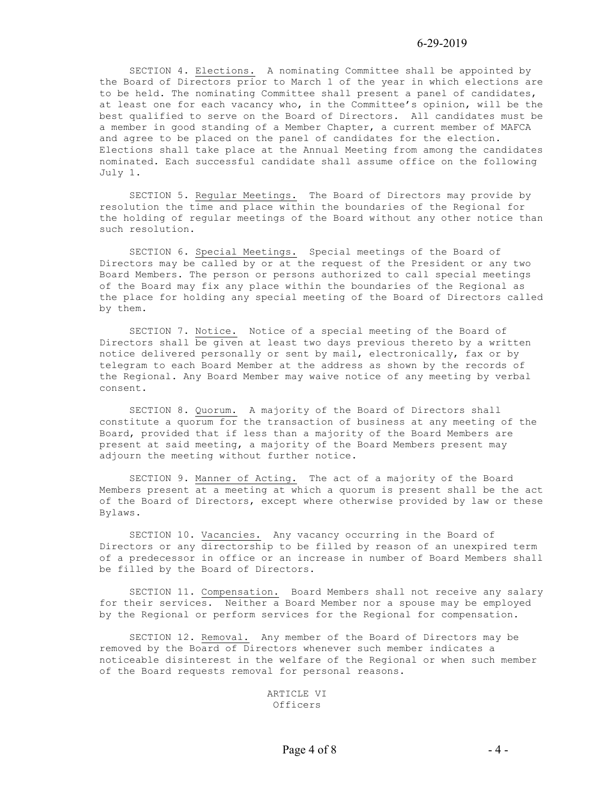SECTION 4. Elections. A nominating Committee shall be appointed by the Board of Directors prior to March 1 of the year in which elections are to be held. The nominating Committee shall present a panel of candidates, at least one for each vacancy who, in the Committee's opinion, will be the best qualified to serve on the Board of Directors. All candidates must be a member in good standing of a Member Chapter, a current member of MAFCA and agree to be placed on the panel of candidates for the election. Elections shall take place at the Annual Meeting from among the candidates nominated. Each successful candidate shall assume office on the following July 1.

SECTION 5. Regular Meetings. The Board of Directors may provide by resolution the time and place within the boundaries of the Regional for the holding of regular meetings of the Board without any other notice than such resolution.

 SECTION 6. Special Meetings. Special meetings of the Board of Directors may be called by or at the request of the President or any two Board Members. The person or persons authorized to call special meetings of the Board may fix any place within the boundaries of the Regional as the place for holding any special meeting of the Board of Directors called by them.

 SECTION 7. Notice. Notice of a special meeting of the Board of Directors shall be given at least two days previous thereto by a written notice delivered personally or sent by mail, electronically, fax or by telegram to each Board Member at the address as shown by the records of the Regional. Any Board Member may waive notice of any meeting by verbal consent.

 SECTION 8. Quorum. A majority of the Board of Directors shall constitute a quorum for the transaction of business at any meeting of the Board, provided that if less than a majority of the Board Members are present at said meeting, a majority of the Board Members present may adjourn the meeting without further notice.

 SECTION 9. Manner of Acting. The act of a majority of the Board Members present at a meeting at which a quorum is present shall be the act of the Board of Directors, except where otherwise provided by law or these Bylaws.

 SECTION 10. Vacancies. Any vacancy occurring in the Board of Directors or any directorship to be filled by reason of an unexpired term of a predecessor in office or an increase in number of Board Members shall be filled by the Board of Directors.

 SECTION 11. Compensation. Board Members shall not receive any salary for their services. Neither a Board Member nor a spouse may be employed by the Regional or perform services for the Regional for compensation.

 SECTION 12. Removal. Any member of the Board of Directors may be removed by the Board of Directors whenever such member indicates a noticeable disinterest in the welfare of the Regional or when such member of the Board requests removal for personal reasons.

> ARTICLE VI Officers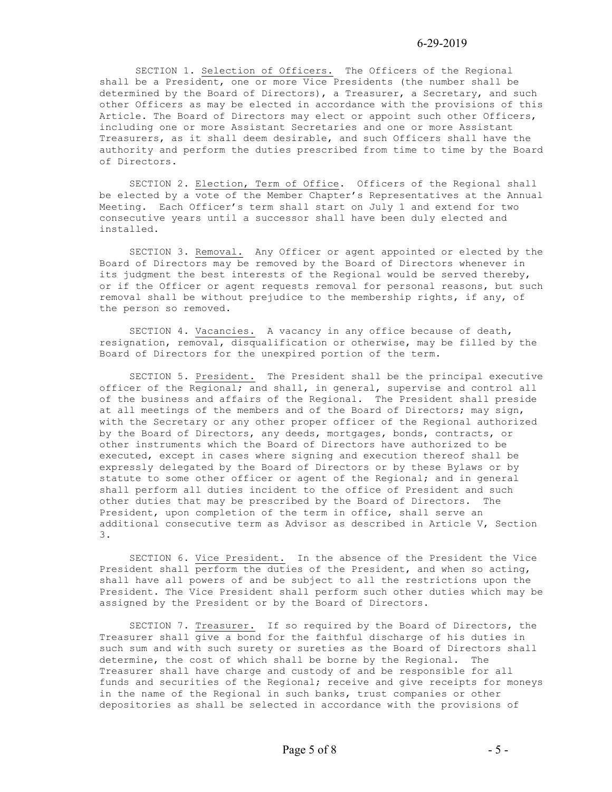SECTION 1. Selection of Officers. The Officers of the Regional shall be a President, one or more Vice Presidents (the number shall be determined by the Board of Directors), a Treasurer, a Secretary, and such other Officers as may be elected in accordance with the provisions of this Article. The Board of Directors may elect or appoint such other Officers, including one or more Assistant Secretaries and one or more Assistant Treasurers, as it shall deem desirable, and such Officers shall have the authority and perform the duties prescribed from time to time by the Board of Directors.

 SECTION 2. Election, Term of Office. Officers of the Regional shall be elected by a vote of the Member Chapter's Representatives at the Annual Meeting. Each Officer's term shall start on July 1 and extend for two consecutive years until a successor shall have been duly elected and installed.

 SECTION 3. Removal. Any Officer or agent appointed or elected by the Board of Directors may be removed by the Board of Directors whenever in its judgment the best interests of the Regional would be served thereby, or if the Officer or agent requests removal for personal reasons, but such removal shall be without prejudice to the membership rights, if any, of the person so removed.

 SECTION 4. Vacancies. A vacancy in any office because of death, resignation, removal, disqualification or otherwise, may be filled by the Board of Directors for the unexpired portion of the term.

 SECTION 5. President. The President shall be the principal executive officer of the Regional; and shall, in general, supervise and control all of the business and affairs of the Regional. The President shall preside at all meetings of the members and of the Board of Directors; may sign, with the Secretary or any other proper officer of the Regional authorized by the Board of Directors, any deeds, mortgages, bonds, contracts, or other instruments which the Board of Directors have authorized to be executed, except in cases where signing and execution thereof shall be expressly delegated by the Board of Directors or by these Bylaws or by statute to some other officer or agent of the Regional; and in general shall perform all duties incident to the office of President and such other duties that may be prescribed by the Board of Directors. The President, upon completion of the term in office, shall serve an additional consecutive term as Advisor as described in Article V, Section 3.

SECTION 6. Vice President. In the absence of the President the Vice President shall perform the duties of the President, and when so acting, shall have all powers of and be subject to all the restrictions upon the President. The Vice President shall perform such other duties which may be assigned by the President or by the Board of Directors.

 SECTION 7. Treasurer. If so required by the Board of Directors, the Treasurer shall give a bond for the faithful discharge of his duties in such sum and with such surety or sureties as the Board of Directors shall determine, the cost of which shall be borne by the Regional. The Treasurer shall have charge and custody of and be responsible for all funds and securities of the Regional; receive and give receipts for moneys in the name of the Regional in such banks, trust companies or other depositories as shall be selected in accordance with the provisions of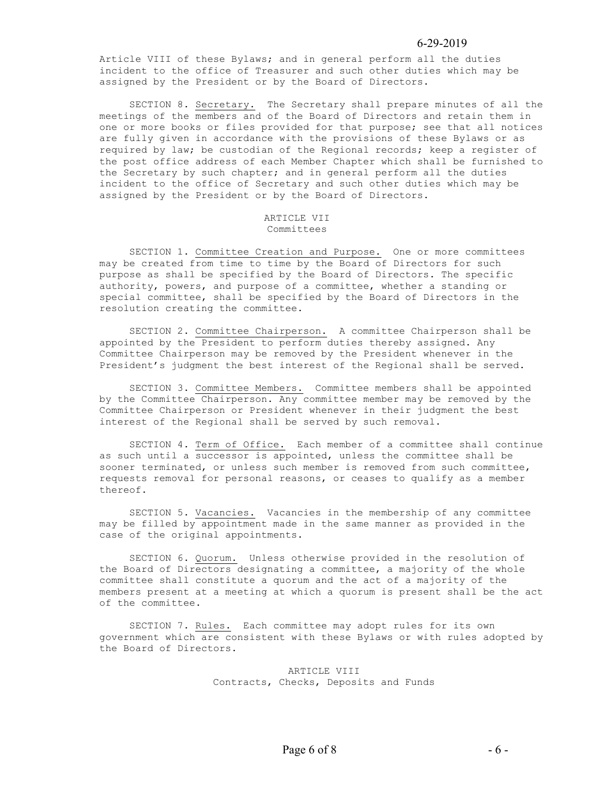Article VIII of these Bylaws; and in general perform all the duties incident to the office of Treasurer and such other duties which may be assigned by the President or by the Board of Directors.

 SECTION 8. Secretary. The Secretary shall prepare minutes of all the meetings of the members and of the Board of Directors and retain them in one or more books or files provided for that purpose; see that all notices are fully given in accordance with the provisions of these Bylaws or as required by law; be custodian of the Regional records; keep a register of the post office address of each Member Chapter which shall be furnished to the Secretary by such chapter; and in general perform all the duties incident to the office of Secretary and such other duties which may be assigned by the President or by the Board of Directors.

#### ARTICLE VII Committees

 SECTION 1. Committee Creation and Purpose. One or more committees may be created from time to time by the Board of Directors for such purpose as shall be specified by the Board of Directors. The specific authority, powers, and purpose of a committee, whether a standing or special committee, shall be specified by the Board of Directors in the resolution creating the committee.

 SECTION 2. Committee Chairperson. A committee Chairperson shall be appointed by the President to perform duties thereby assigned. Any Committee Chairperson may be removed by the President whenever in the President's judgment the best interest of the Regional shall be served.

 SECTION 3. Committee Members. Committee members shall be appointed by the Committee Chairperson. Any committee member may be removed by the Committee Chairperson or President whenever in their judgment the best interest of the Regional shall be served by such removal.

SECTION 4. Term of Office. Each member of a committee shall continue as such until a successor is appointed, unless the committee shall be sooner terminated, or unless such member is removed from such committee, requests removal for personal reasons, or ceases to qualify as a member thereof.

 SECTION 5. Vacancies. Vacancies in the membership of any committee may be filled by appointment made in the same manner as provided in the case of the original appointments.

 SECTION 6. Quorum. Unless otherwise provided in the resolution of the Board of Directors designating a committee, a majority of the whole committee shall constitute a quorum and the act of a majority of the members present at a meeting at which a quorum is present shall be the act of the committee.

 SECTION 7. Rules. Each committee may adopt rules for its own government which are consistent with these Bylaws or with rules adopted by the Board of Directors.

> ARTICLE VIII Contracts, Checks, Deposits and Funds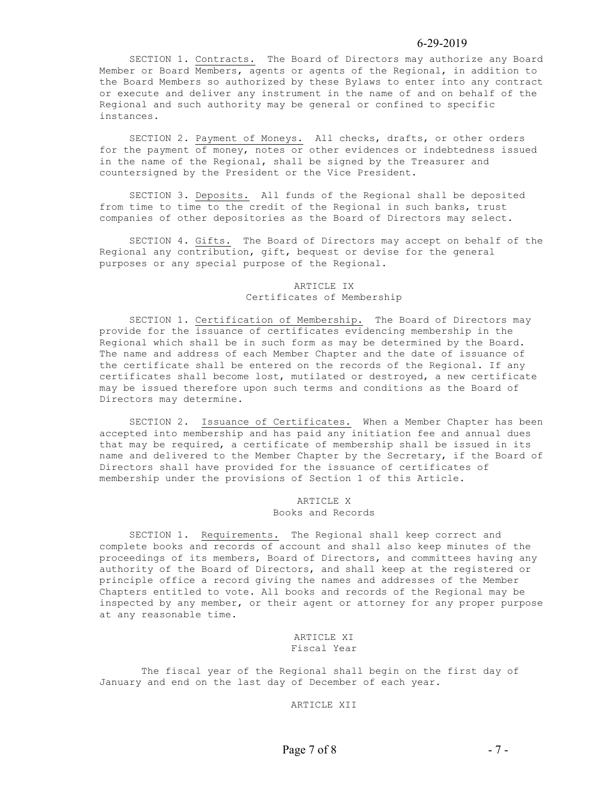SECTION 1. Contracts. The Board of Directors may authorize any Board Member or Board Members, agents or agents of the Regional, in addition to the Board Members so authorized by these Bylaws to enter into any contract or execute and deliver any instrument in the name of and on behalf of the Regional and such authority may be general or confined to specific instances.

 SECTION 2. Payment of Moneys. All checks, drafts, or other orders for the payment of money, notes or other evidences or indebtedness issued in the name of the Regional, shall be signed by the Treasurer and countersigned by the President or the Vice President.

 SECTION 3. Deposits. All funds of the Regional shall be deposited from time to time to the credit of the Regional in such banks, trust companies of other depositories as the Board of Directors may select.

 SECTION 4. Gifts. The Board of Directors may accept on behalf of the Regional any contribution, gift, bequest or devise for the general purposes or any special purpose of the Regional.

#### ARTICLE IX Certificates of Membership

 SECTION 1. Certification of Membership. The Board of Directors may provide for the issuance of certificates evidencing membership in the Regional which shall be in such form as may be determined by the Board. The name and address of each Member Chapter and the date of issuance of the certificate shall be entered on the records of the Regional. If any certificates shall become lost, mutilated or destroyed, a new certificate may be issued therefore upon such terms and conditions as the Board of Directors may determine.

 SECTION 2. Issuance of Certificates. When a Member Chapter has been accepted into membership and has paid any initiation fee and annual dues that may be required, a certificate of membership shall be issued in its name and delivered to the Member Chapter by the Secretary, if the Board of Directors shall have provided for the issuance of certificates of membership under the provisions of Section 1 of this Article.

#### ARTICLE X Books and Records

 SECTION 1. Requirements. The Regional shall keep correct and complete books and records of account and shall also keep minutes of the proceedings of its members, Board of Directors, and committees having any authority of the Board of Directors, and shall keep at the registered or principle office a record giving the names and addresses of the Member Chapters entitled to vote. All books and records of the Regional may be inspected by any member, or their agent or attorney for any proper purpose at any reasonable time.

#### ARTICLE XI Fiscal Year

 The fiscal year of the Regional shall begin on the first day of January and end on the last day of December of each year.

ARTICLE XII